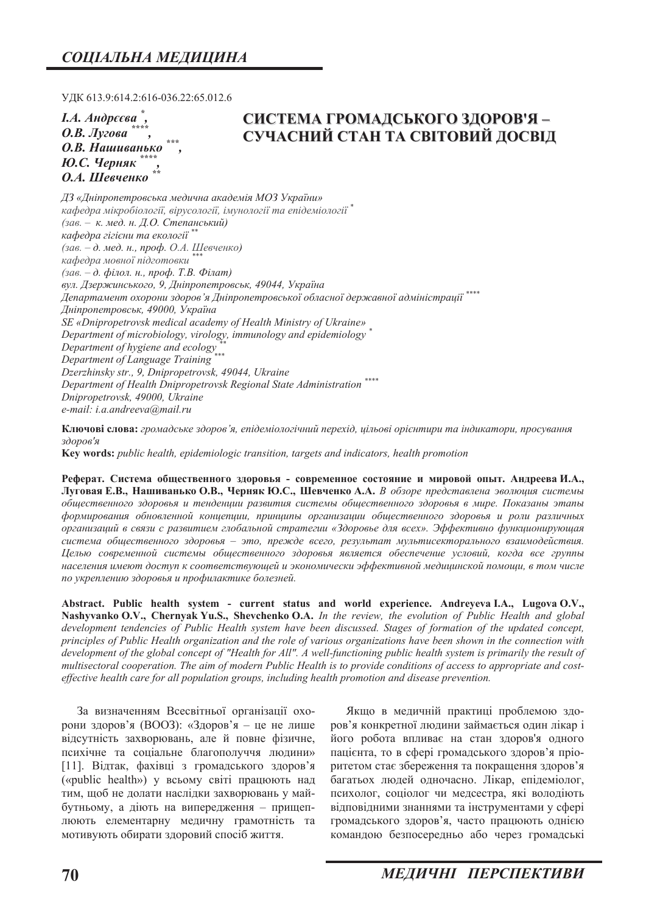УДК 613.9:614.2:616-036.22:65.012.6

*I.А. Андреєва \*, О.В. Лугова* **О.В. Нашиванько Ю.С. Черняк О.А.** Шевченко

# **ɋɂɋɌȿɆȺ ȽɊɈɆȺȾɋɖɄɈȽɈ ɁȾɈɊɈȼ ə ±**  $C$ УЧАСНИЙ СТАН ТА СВІТОВИЙ ДОСВІД

 $\Box$ 3 «Дніпропетровська медична академія МОЗ України» **кафедра мікробіології, вірусології, імунології та епідеміології <sup>\*</sup>** *(ɡɚɜ. – ɤ. ɦɟɞ. ɧ. Ⱦ.Ɉ. ɋɬɟɩɚɧɫɶɤɢɣ) кафедра гігієни та екології*  $(3a\varepsilon - \partial \cdot \text{med. H., } npo\phi \cdot \textit{O.A. } II$ евченко)  $k$ афедра мовної підготовки *(зав.* – д. філол. н., проф. Т.В. Філат)  $g_{VJ}$ . Дзержинського, 9, Дніпропетровськ, 49044, Україна *Ⱦɟɩɚɪɬɚɦɟɧɬ ɨɯɨɪɨɧɢ ɡɞɨɪɨɜ'ɹ Ⱦɧɿɩɪɨɩɟɬɪɨɜɫɶɤɨʀ ɨɛɥɚɫɧɨʀ ɞɟɪɠɚɜɧɨʀ ɚɞɦɿɧɿɫɬɪɚɰɿʀ \*\*\*\**   $\mu$ Hinponempoвськ, 49000, Україна *SE «Dnipropetrovsk medical academy of Health Ministry of Ukraine» Department of microbiology, virology, immunology and epidemiology \* Department of hygiene and ecology*<sub>\*\*\*</sub> *Department of Language Training \*\*\* Dzerzhinsky str., 9, Dnipropetrovsk, 49044, Ukraine Department of Health Dnipropetrovsk Regional State Administration \*\*\*\* Dnipropetrovsk, 49000, Ukraine e-mail: i.a.andreeva@mail.ru* 

Ключові слова: громадське здоров'я, епідеміологічний перехід, цільові орієнтири та індикатори, просування  $3\partial$ *оров'я* 

**.H\ZRUGV** *public health, epidemiologic transition, targets and indicators, health promotion* 

Реферат. Система общественного здоровья - современное состояние и мировой опыт. Андреева И.А., **Луговая Е.В., Нашиванько О.В., Черняк Ю.С., Шевченко А.А.** В обзоре представлена эволюция системы  $\delta$ бщественного здоровья и тенденции развития системы общественного здоровья в мире. Показаны этапы  $\phi$ формирования обновленной концепции, принципы организации общественного здоровья и роли различных  $\alpha$ рганизаций в связи с развитием глобальной стратегии «Здоровье для всех». Эффективно функционирующая система общественного здоровья – это, прежде всего, результат мультисекторального взаимодействия. **Иелью современной системы общественного здоровья является обеспечение условий, когда все группы** *ɧɚɫɟɥɟɧɢɹ ɢɦɟɸɬ ɞɨɫɬɭɩ ɤ ɫɨɨɬɜɟɬɫɬɜɭɸɳɟɣ ɢ ɷɤɨɧɨɦɢɱɟɫɤɢ ɷɮɮɟɤɬɢɜɧɨɣ ɦɟɞɢɰɢɧɫɤɨɣ ɩɨɦɨɳɢ, ɜ ɬɨɦ ɱɢɫɥɟ* по укреплению здоровья и профилактике болезней.

Abstract. Public health system - current status and world experience. Andreveva I.A., Lugova O.V., **Nashyvanko O.V., Chernyak Yu.S., Shevchenko O.A.** In the review, the evolution of Public Health and global *development tendencies of Public Health system have been discussed. Stages of formation of the updated concept, principles of Public Health organization and the role of various organizations have been shown in the connection with development of the global concept of "Health for All". A well-functioning public health system is primarily the result of multisectoral cooperation. The aim of modern Public Health is to provide conditions of access to appropriate and costeffective health care for all population groups, including health promotion and disease prevention.* 

За визначенням Всесвітньої організації охорони здоров'я (ВООЗ): «Здоров'я – це не лише відсутність захворювань, але й повне фізичне, психічне та соціальне благополуччя людини»  $[11]$ . Відтак, фахівці з громадського здоров'я («public health») у всьому світі працюють над тим, щоб не долати наслідки захворювань у майбутньому, а діють на випередження – прищеплюють елементарну медичну грамотність та мотивують обирати здоровий спосіб життя.

Якщо в медичній практиці проблемою здоров'я конкретної людини займається один лікар і його робота впливає на стан здоров'я одного пацієнта, то в сфері громадського здоров'я пріоритетом стає збереження та покращення здоров'я багатьох людей одночасно. Лікар, епідеміолог, психолог, соціолог чи медсестра, які володіють відповідними знаннями та інструментами у сфері громадського здоров'я, часто працюють однією командою безпосередньо або через громадські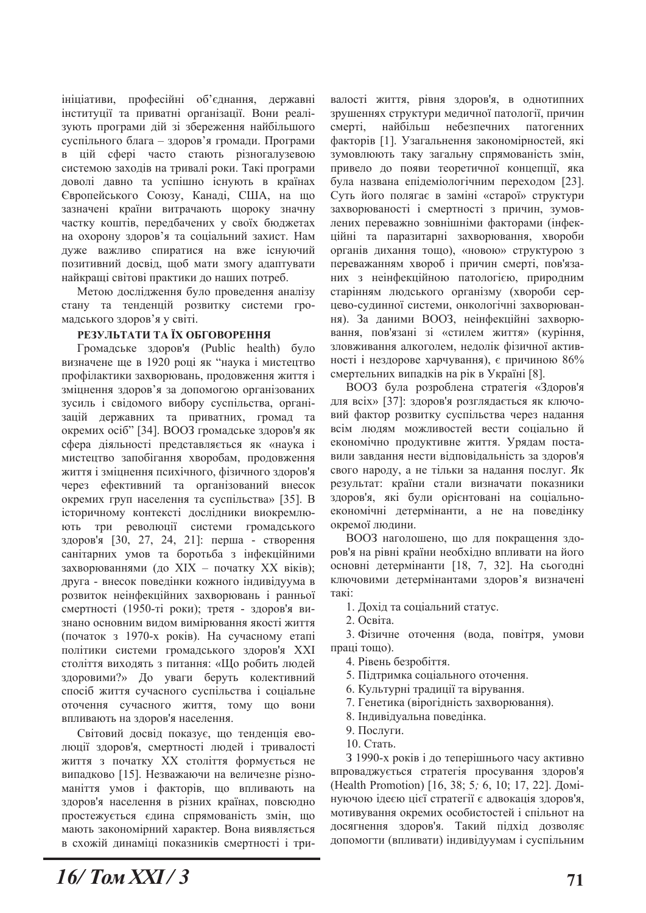ініціативи, професійні об'єднання, державні інституції та приватні організації. Вони реалізують програми дій зі збереження найбільшого суспільного блага - здоров'я громади. Програми в цій сфері часто стають різногалузевою системою заходів на тривалі роки. Такі програми доволі давно та успішно існують в країнах Європейського Союзу, Канаді, США, на що зазначені країни витрачають щороку значну частку коштів, передбачених у своїх бюджетах на охорону здоров'я та соціальний захист. Нам дуже важливо спиратися на вже існуючий позитивний досвід, щоб мати змогу адаптувати найкращі світові практики до наших потреб.

Метою дослідження було проведення аналізу стану та тенденцій розвитку системи громадського здоров'я у світі.

#### РЕЗУЛЬТАТИ ТА ЇХ ОБГОВОРЕННЯ

Громадське здоров'я (Public health) було визначене ще в 1920 році як "наука і мистецтво профілактики захворювань, продовження життя і зміцнення здоров'я за допомогою організованих зусиль і свідомого вибору суспільства, організацій державних та приватних, громад та окремих осіб" [34]. ВООЗ громадське здоров'я як сфера діяльності представляється як «наука і мистецтво запобігання хворобам, продовження життя і зміцнення психічного, фізичного здоров'я через ефективний та організований внесок окремих груп населення та суспільства» [35]. В історичному контексті дослідники виокремлюють три революції системи громадського здоров'я [30, 27, 24, 21]: перша - створення санітарних умов та боротьба з інфекційними захворюваннями (до XIX - початку XX віків); друга - внесок поведінки кожного індивідуума в розвиток неінфекційних захворювань і ранньої смертності (1950-ті роки); третя - здоров'я визнано основним видом вимірювання якості життя (початок з 1970-х років). На сучасному етапі політики системи громадського здоров'я XXI століття виходять з питання: «Що робить людей здоровими?» До уваги беруть колективний спосіб життя сучасного суспільства і соціальне оточення сучасного життя, тому що вони впливають на здоров'я населення.

Світовий досвід показує, що тенденція еволюції здоров'я, смертності людей і тривалості життя з початку XX століття формується не випадково [15]. Незважаючи на величезне різноманіття умов і факторів, що впливають на здоров'я населення в різних країнах, повсюдно простежується єдина спрямованість змін, що мають закономірний характер. Вона виявляється в схожій динаміці показників смертності і три-

валості життя, рівня здоров'я, в однотипних зрушеннях структури медичної патології, причин смерті, найбільш небезпечних патогенних факторів [1]. Узагальнення закономірностей, які зумовлюють таку загальну спрямованість змін, привело до появи теоретичної концепції, яка була названа епідеміологічним переходом [23]. Суть його полягає в заміні «старої» структури захворюваності і смертності з причин, зумовлених переважно зовнішніми факторами (інфекційні та паразитарні захворювання, хвороби органів дихання тощо), «новою» структурою з переважанням хвороб і причин смерті, пов'язаних з неінфекційною патологією, природним старінням людського організму (хвороби серцево-судинної системи, онкологічні захворювання). За даними ВООЗ, неінфекційні захворювання, пов'язані зі «стилем життя» (куріння, зловживання алкоголем, недолік фізичної активності і нездорове харчування), є причиною 86% смертельних випадків на рік в Україні [8].

ВООЗ була розроблена стратегія «Здоров'я для всіх» [37]: здоров'я розглядається як ключовий фактор розвитку суспільства через надання всім людям можливостей вести соціально й економічно продуктивне життя. Урядам поставили завдання нести відповідальність за здоров'я свого народу, а не тільки за надання послуг. Як результат: країни стали визначати показники здоров'я, які були орієнтовані на соціальноекономічні детермінанти, а не на поведінку окремої людини.

ВООЗ наголошено, що для покращення здоров'я на рівні країни необхідно впливати на його основні детермінанти [18, 7, 32]. На сьогодні ключовими детермінантами здоров'я визначені такі:

- 1. Дохід та соціальний статус.
- 2. Освіта.

3. Фізичне оточення (вода, повітря, умови праці тощо).

- 4. Рівень безробіття.
- 5. Підтримка соціального оточення.
- 6. Культурні традиції та вірування.
- 7. Генетика (вірогідність захворювання).
- 8. Індивідуальна поведінка.
- 9. Послуги.
- 10. Стать.

З 1990-х років і до теперішнього часу активно впроваджується стратегія просування здоров'я (Health Promotion) [16, 38; 5; 6, 10; 17, 22]. *A*<sub>omi</sub>нуючою ідеєю цієї стратегії є адвокація здоров'я, мотивування окремих особистостей і спільнот на досягнення здоров'я. Такий підхід дозволяє допомогти (впливати) індивідуумам і суспільним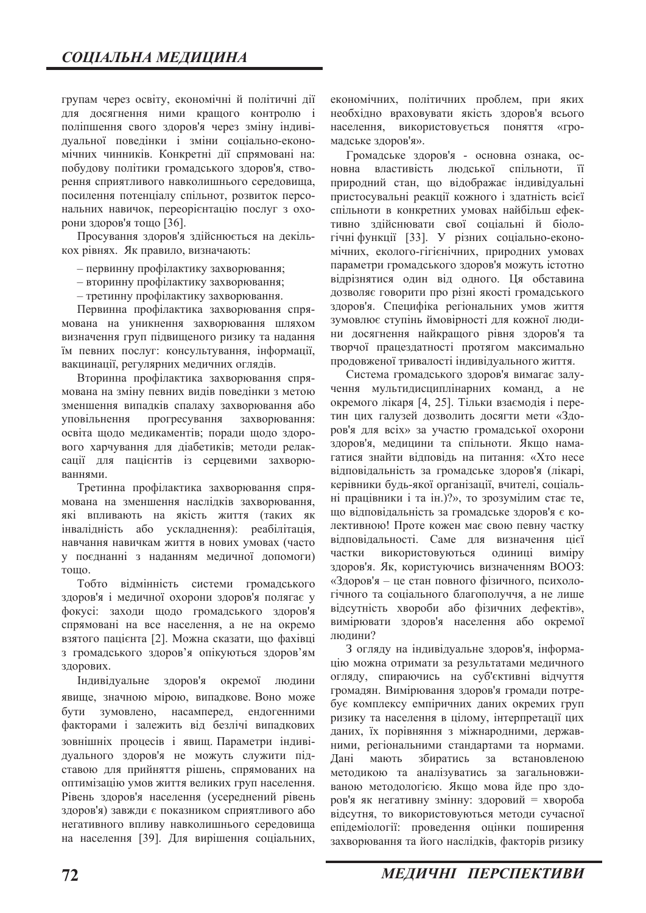групам через освіту, економічні й політичні дії для досягнення ними кращого контролю і поліпшення свого здоров'я через зміну індивідуальної поведінки і зміни соціально-економічних чинників. Конкретні дії спрямовані на: побудову політики громадського здоров'я, створення сприятливого навколишнього середовища, посилення потенціалу спільнот, розвиток персональних навичок, переорієнтацію послуг з охорони здоров'я тощо [36].

Просування здоров'я здійснюється на декількох рівнях. Як правило, визначають:

- первинну профілактику захворювання;
- $-$  вторинну профілактику захворювання;
- третинну профілактику захворювання.

Первинна профілактика захворювання спрямована на уникнення захворювання шляхом визначення груп підвищеного ризику та надання їм певних послуг: консультування, інформації, вакцинації, регулярних медичних оглядів.

Вторинна профілактика захворювання спрямована на зміну певних видів поведінки з метою зменшення випадків спалаху захворювання або уповільнення прогресування захворювання: освіта щодо медикаментів; поради щодо здорового харчування для діабетиків; методи релаксації для пацієнтів із серцевими захворюваннями.

Третинна профілактика захворювання спрямована на зменшення наслідків захворювання, які впливають на якість життя (таких як інвалідність або ускладнення): реабілітація, навчання навичкам життя в нових умовах (часто у поєднанні з наданням медичної допомоги) TOHIO.

Тобто відмінність системи громадського здоров'я і медичної охорони здоров'я полягає у фокусі: заходи щодо громадського здоров'я спрямовані на все населення, а не на окремо взятого пацієнта [2]. Можна сказати, що фахівці з громадського здоров'я опікуються здоров'ям здорових.

Індивідуальне здоров'я окремої людини явище, значною мірою, випадкове. Воно може бути зумовлено, насамперед, ендогенними факторами і залежить від безлічі випадкових зовнішніх процесів і явищ. Параметри індивідуального здоров'я не можуть служити підставою для прийняття рішень, спрямованих на оптимізацію умов життя великих груп населення. Рівень здоров'я населення (усереднений рівень здоров'я) завжди є показником сприятливого або негативного впливу навколишнього середовища на населення [39]. Для вирішення соціальних,

економічних, політичних проблем, при яких необхідно враховувати якість здоров'я всього населення, використовується поняття «громадське здоров'я».

Громадське здоров'я - основна ознака, основна властивість людської спільноти, її природний стан, що відображає індивідуальні пристосувальні реакції кожного і здатність всієї спільноти в конкретних умовах найбільш ефективно здійснювати свої соціальні й біологічні функції [33]. У різних соціально-економічних, еколого-гігієнічних, природних умовах параметри громадського здоров'я можуть істотно відрізнятися один від одного. Ця обставина дозволяє говорити про різні якості громадського здоров'я. Специфіка регіональних умов життя зумовлює ступінь ймовірності для кожної людини досягнення найкращого рівня здоров'я та творчої працездатності протягом максимально продовженої тривалості індивідуального життя.

Система громадського здоров'я вимагає залучення мультидисциплінарних команд, а не окремого лікаря [4, 25]. Тільки взаємодія і перетин цих галузей дозволить досягти мети «Здоров'я для всіх» за участю громадської охорони здоров'я, медицини та спільноти. Якщо намагатися знайти відповідь на питання: «Хто несе відповідальність за громадське здоров'я (лікарі, керівники будь-якої організації, вчителі, соціальні працівники і та ін.)?», то зрозумілим стає те, що відповідальність за громадське здоров'я є колективною! Проте кожен має свою певну частку відповідальності. Саме для визначення цієї частки використовуються одиниці виміру здоров'я. Як, користуючись визначенням ВООЗ: «Здоров'я - це стан повного фізичного, психологічного та соціального благополуччя, а не лише відсутність хвороби або фізичних дефектів», вимірювати здоров'я населення або окремої людини?

З огляду на індивідуальне здоров'я, інформацію можна отримати за результатами медичного огляду, спираючись на суб'єктивні відчуття громадян. Вимірювання здоров'я громади потребує комплексу емпіричних даних окремих груп ризику та населення в цілому, інтерпретації цих даних, їх порівняння з міжнародними, державними, регіональними стандартами та нормами. Дані мають збиратись за встановленою методикою та аналізуватись за загальновживаною методологією. Якщо мова йде про здоров'я як негативну змінну: здоровий = хвороба відсутня, то використовуються методи сучасної епідеміології: проведення оцінки поширення захворювання та його наслідків, факторів ризику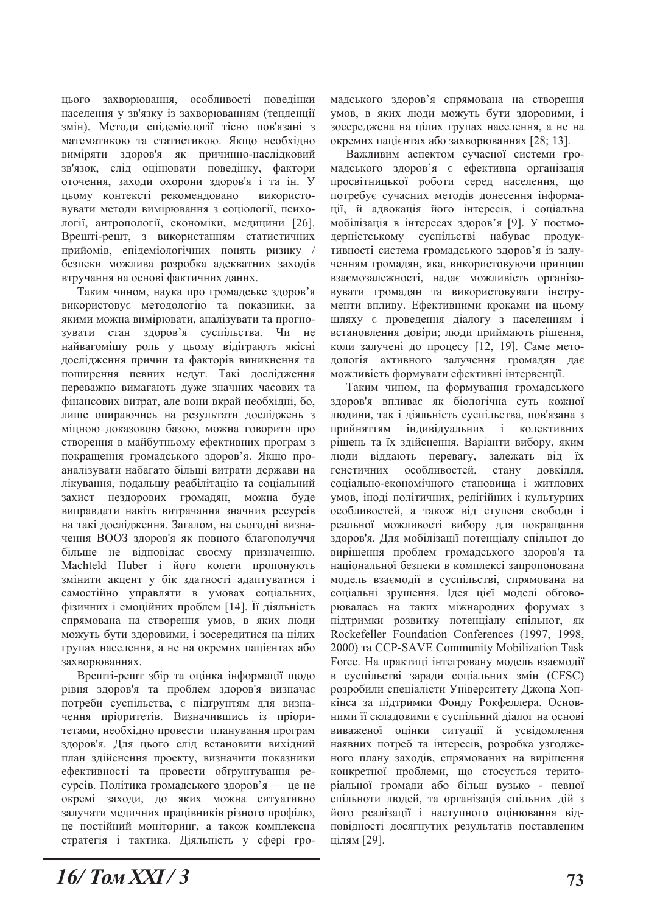цього захворювання, особливості поведінки населення у зв'язку із захворюванням (тенденції змін). Методи епідеміології тісно пов'язані з математикою та статистикою. Якщо необхідно виміряти здоров'я як причинно-наслідковий зв'язок, слід оцінювати поведінку, фактори оточення, заходи охорони здоров'я і та ін. У цьому контексті рекомендовано використовувати методи вимірювання з соціології, психології, антропології, економіки, медицини [26]. Врешті-решт, з використанням статистичних прийомів, епідеміологічних понять ризику / безпеки можлива розробка адекватних заходів втручання на основі фактичних даних.

Таким чином, наука про громадське здоров'я використовує методологію та показники, за якими можна вимірювати, аналізувати та прогнозувати стан здоров'я суспільства. Чи не найвагомішу роль у цьому відіграють якісні дослідження причин та факторів виникнення та поширення певних недуг. Такі дослідження переважно вимагають дуже значних часових та фінансових витрат, але вони вкрай необхідні, бо, лише опираючись на результати досліджень з міцною доказовою базою, можна говорити про створення в майбутньому ефективних програм з покращення громадського здоров'я. Якщо проаналізувати набагато більші витрати держави на лікування, подальшу реабілітацію та соціальний захист нездорових громадян, можна буде виправдати навіть витрачання значних ресурсів на такі дослідження. Загалом, на сьогодні визначення ВООЗ здоров'я як повного благополуччя більше не відповідає своєму призначенню. Machteld Huber *i* його колеги пропонують змінити акцент у бік здатності адаптуватися і самостійно управляти в умовах соціальних, фізичних і емоційних проблем [14]. Її діяльність спрямована на створення умов, в яких люди можуть бути здоровими, і зосередитися на цілих групах населення, а не на окремих пацієнтах або захворюваннях.

Врешті-решт збір та оцінка інформації щодо рівня здоров'я та проблем здоров'я визначає потреби суспільства, є підґрунтям для визначення пріоритетів. Визначившись із пріоритетами, необхідно провести планування програм здоров'я. Для цього слід встановити вихідний план здійснення проекту, визначити показники ефективності та провести обґрунтування ресурсів. Політика громадського здоров'я — це не окремі заходи, до яких можна ситуативно залучати медичних працівників різного профілю, це постійний моніторинг, а також комплексна стратегія і тактика. Діяльність у сфері гро-

мадського здоров'я спрямована на створення умов, в яких люди можуть бути здоровими, і зосереджена на цілих групах населення, а не на окремих пацієнтах або захворюваннях [28; 13].

Важливим аспектом сучасної системи громадського здоров'я є ефективна організація просвітницької роботи серед населення, що потребує сучасних методів донесення інформації, й адвокація його інтересів, і соціальна мобілізація в інтересах здоров'я [9]. У постмодерністському суспільстві набуває продуктивності система громадського здоров'я із залученням громадян, яка, використовуючи принцип взаємозалежності, надає можливість організовувати громадян та використовувати інструменти впливу. Ефективними кроками на цьому шляху є проведення діалогу з населенням і встановлення довіри; люди приймають рішення, коли залучені до процесу [12, 19]. Саме методологія активного залучення громадян дає можливість формувати ефективні інтервенції.

Таким чином, на формування громадського здоров'я впливає як біологічна суть кожної людини, так і діяльність суспільства, пов'язана з прийняттям індивідуальних і колективних рішень та їх здійснення. Варіанти вибору, яким люди віддають перевагу, залежать від їх генетичних особливостей, стану ловкілля, соціально-економічного становиша і житлових умов, іноді політичних, релігійних і культурних особливостей, а також від ступеня свободи і реальної можливості вибору для покращання здоров'я. Для мобілізації потенціалу спільнот до вирішення проблем громадського здоров'я та національної безпеки в комплексі запропонована модель взаємодії в суспільстві, спрямована на соціальні зрушення. Ілея цієї моделі обговорювалась на таких міжнародних форумах з підтримки розвитку потенціалу спільнот, як Rockefeller Foundation Conferences (1997, 1998, 2000) ra CCP-SAVE Community Mobilization Task Force. На практиці інтегровану модель взаємодії в суспільстві заради соціальних змін (CFSC) розробили спеціалісти Університету Джона Хопкінса за підтримки Фонду Рокфеллера. Основними її складовими є суспільний діалог на основі виваженої оцінки ситуації й усвідомлення наявних потреб та інтересів, розробка узгодженого плану заходів, спрямованих на вирішення конкретної проблеми, що стосується територіальної громади або більш вузько - певної спільноти людей, та організація спільних дій з його реалізації і наступного оцінювання відповідності досягнутих результатів поставленим цілям [29].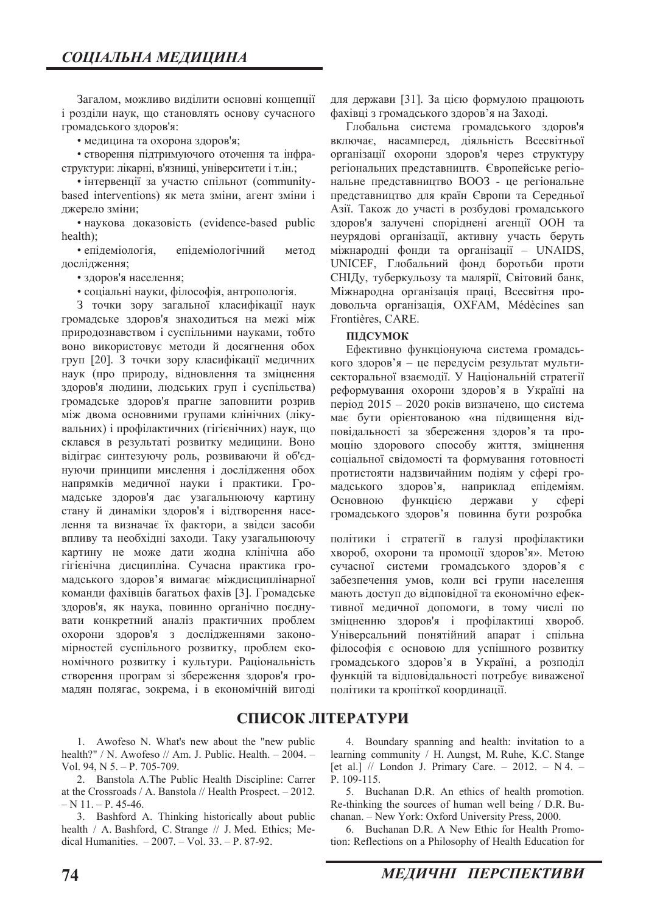Загалом, можливо виділити основні концепції і розділи наук, що становлять основу сучасного громадського здоров'я:

• медицина та охорона здоров'я;

• створення підтримуючого оточення та інфраструктури: лікарні, в'язниці, університети і т.ін.;

• інтервенції за участю спільнот (communitybased interventions) як мета зміни, агент зміни і джерело зміни:

• наукова доказовість (evidence-based public  $health);$ 

• епілеміологія. епілеміологічний метол дослідження:

• здоров'я населення;

• соціальні науки, філософія, антропологія.

3 точки зору загальної класифікації наук громадське здоров'я знаходиться на межі між природознавством і суспільними науками, тобто воно використовує методи й досягнення обох груп [20]. З точки зору класифікації медичних наук (про природу, відновлення та зміцнення здоров'я людини, людських груп і суспільства) громадське здоров'я прагне заповнити розрив між двома основними групами клінічних (лікувальних) і профілактичних (гігієнічних) наук, що склався в результаті розвитку медицини. Воно відіграє синтезуючу роль, розвиваючи й об'єднуючи принципи мислення і дослідження обох напрямків меличної науки і практики. Громадське здоров'я дає узагальнюючу картину стану й динаміки здоров'я і відтворення населення та визначає їх фактори, а звідси засоби впливу та необхідні заходи. Таку узагальнюючу картину не може дати жодна клінічна або тігієнічна дисципліна. Сучасна практика громадського здоров'я вимагає міждисциплінарної команди фахівців багатьох фахів [3]. Громадське здоров'я, як наука, повинно органічно поєднувати конкретний аналіз практичних проблем охорони здоров'я з дослідженнями закономірностей суспільного розвитку, проблем економічного розвитку і культури. Раціональність створення програм зі збереження здоров'я громадян полягає, зокрема, і в економічній вигоді

1. Awofeso N. What's new about the "new public health?" / N. Awofeso // Am. J. Public. Health.  $-2004.$  -Vol. 94, N  $5. - P$ , 705-709.

2. Banstola A.The Public Health Discipline: Carrer at the Crossroads / A. Banstola // Health Prospect.  $-2012$ .  $- N 11. - P. 45-46.$ 

3. Bashford A. Thinking historically about public health / A. Bashford, C. Strange // J. Med. Ethics; Medical Humanities.  $-2007. - Vol. 33. - P. 87-92.$ 

для держави [31]. За цією формулою працюють фахівці з громадського здоров'я на Заході.

Глобальна система громадського здоров'я включає, насамперед, діяльність Всесвітньої організації охорони здоров'я через структуру регіональних представництв. Європейське регіональне представництво ВООЗ - це регіональне представництво для країн Європи та Середньої Азії. Також до участі в розбудові громадського здоров'я залучені споріднені агенції ООН та неурядові організації, активну участь беруть міжнародні фонди та організації - UNAIDS, UNICEF, Глобальний фонд боротьби проти СНІДу, туберкульозу та малярії, Світовий банк, Міжнародна організація праці, Всесвітня продовольча організація, ОХFAM, Médècines san Frontières, CARE.

#### **ПІДСУМОК**

Ефективно функціонуюча система громадського здоров'я - це передусім результат мультисекторальної взаємодії. У Національній стратегії реформування охорони здоров'я в Україні на період  $2015 - 2020$  років визначено, що система має бути орієнтованою «на підвищення відповідальності за збереження здоров'я та промоцію здорового способу життя, зміцнення соціальної свідомості та формування готовності протистояти надзвичайним подіям у сфері громадського здоров'я, наприклад епідеміям. Основною функцією держави у сфері громадського здоров'я повинна бути розробка

політики і стратегії в галузі профілактики хвороб, охорони та промоції здоров'я». Метою сучасної системи громадського здоров'я є забезпечення умов, коли всі групи населення мають доступ до відповідної та економічно ефективної медичної допомоги, в тому числі по зміцненню здоров'я і профілактиці хвороб. Універсальний понятійний апарат і спільна філософія є основою для успішного розвитку  $\overline{I}$ ромадського здоров'я в Україні, а розподіл функцій та відповідальності потребує виваженої політики та кропіткої координації.

## СПИСОК ЛІТЕРАТУРИ

4. Boundary spanning and health: invitation to a learning community / H. Aungst, M. Ruhe, K.C. Stange [et al.]  $//$  London J. Primary Care.  $-$  2012.  $-$  N 4.  $-$ P. 109-115.

5. Buchanan D.R. An ethics of health promotion. Re-thinking the sources of human well being  $/$  D.R. Buchanan. - New York: Oxford University Press, 2000.

6. Buchanan D.R. A New Ethic for Health Promotion: Reflections on a Philosophy of Health Education for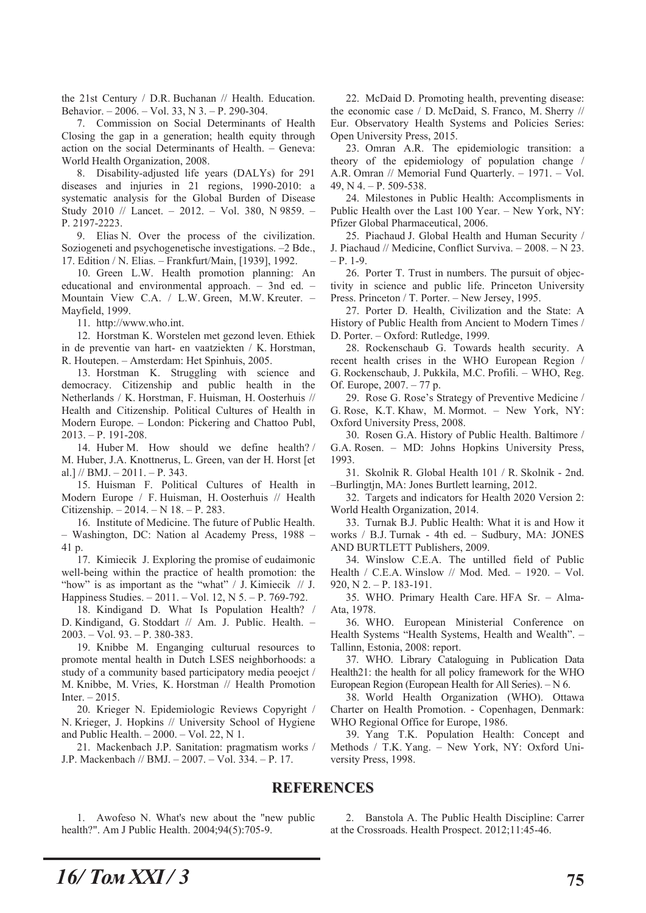the 21st Century / D.R. Buchanan // Health. Education. Behavior. - 2006. - Vol. 33, N 3. - P. 290-304.

7. Commission on Social Determinants of Health Closing the gap in a generation; health equity through action on the social Determinants of Health. - Geneva: World Health Organization, 2008.

8. Disability-adjusted life years (DALYs) for 291 diseases and injuries in 21 regions, 1990-2010: a systematic analysis for the Global Burden of Disease Study 2010 // Lancet. - 2012. - Vol. 380, N 9859. -P. 2197-2223.

9. Elias N. Over the process of the civilization. Soziogeneti and psychogenetische investigations. -2 Bde., 17. Edition / N. Elias. - Frankfurt/Main, [1939], 1992.

10. Green L.W. Health promotion planning: An educational and environmental approach.  $-$  3nd ed.  $-$ Mountain View C.A. / L.W. Green, M.W. Kreuter. -Mavfield, 1999.

11. http://www.who.int.

12. Horstman K. Worstelen met gezond leven. Ethiek in de preventie van hart- en vaatziekten / K. Horstman, R. Houtepen. - Amsterdam: Het Spinhuis, 2005.

13. Horstman K. Struggling with science and democracy. Citizenship and public health in the Netherlands / K. Horstman, F. Huisman, H. Oosterhuis // Health and Citizenship. Political Cultures of Health in Modern Europe. - London: Pickering and Chattoo Publ,  $2013. - P. 191 - 208.$ 

14. Huber M. How should we define health?/ M. Huber, J.A. Knottnerus, L. Green, van der H. Horst [et al.] // BMJ.  $- 2011. - P. 343.$ 

15. Huisman F. Political Cultures of Health in Modern Europe / F. Huisman, H. Oosterhuis // Health Citizenship.  $-2014. - N 18. - P. 283.$ 

16. Institute of Medicine. The future of Public Health. Washington, DC: Nation al Academy Press, 1988 -41 p.

17. Kimiecik J. Exploring the promise of eudaimonic well-being within the practice of health promotion: the "how" is as important as the "what" / J. Kimiecik // J. Happiness Studies. - 2011. - Vol. 12, N 5. - P. 769-792.

18. Kindigand D. What Is Population Health? / D. Kindigand, G. Stoddart // Am. J. Public. Health. - $2003. - Vol. 93. - P. 380-383.$ 

19. Knibbe M. Enganging culturual resources to promote mental health in Dutch LSES neighborhoods: a study of a community based participatory media peoejct / M. Knibbe, M. Vries, K. Horstman // Health Promotion  $Inter. - 2015.$ 

20. Krieger N. Epidemiologic Reviews Copyright / N. Krieger, J. Hopkins // University School of Hygiene and Public Health.  $-2000. - Vol. 22$ , N 1.

21. Mackenbach J.P. Sanitation: pragmatism works / J.P. Mackenbach // BMJ. - 2007. - Vol. 334. - P. 17.

22. McDaid D. Promoting health, preventing disease: the economic case / D. McDaid, S. Franco, M. Sherry // Eur. Observatory Health Systems and Policies Series: Open University Press, 2015.

23. Omran A.R. The epidemiologic transition: a theory of the epidemiology of population change / A.R. Omran // Memorial Fund Quarterly. - 1971. - Vol. 49, N 4,  $-$  P, 509-538.

24. Milestones in Public Health: Accomplisments in Public Health over the Last 100 Year. - New York, NY: Pfizer Global Pharmaceutical, 2006.

25. Piachaud J. Global Health and Human Security / J. Piachaud // Medicine, Conflict Surviva. - 2008. - N 23.  $- P. 1-9.$ 

26. Porter T. Trust in numbers. The pursuit of objectivity in science and public life. Princeton University Press. Princeton / T. Porter. - New Jersey, 1995.

27. Porter D. Health, Civilization and the State: A History of Public Health from Ancient to Modern Times / D. Porter. - Oxford: Rutledge, 1999.

28. Rockenschaub G. Towards health security. A recent health crises in the WHO European Region / G. Rockenschaub, J. Pukkila, M.C. Profili. - WHO, Reg. Of. Europe, 2007. - 77 p.

29. Rose G. Rose's Strategy of Preventive Medicine / G. Rose, K.T. Khaw, M. Mormot. - New York, NY: Oxford University Press, 2008.

30. Rosen G.A. History of Public Health. Baltimore / G.A. Rosen. - MD: Johns Hopkins University Press, 1993.

31. Skolnik R. Global Health 101 / R. Skolnik - 2nd. -Burlingtjn, MA: Jones Burtlett learning, 2012.

32. Targets and indicators for Health 2020 Version 2: World Health Organization, 2014.

33. Turnak B.J. Public Health: What it is and How it works / B.J. Turnak - 4th ed. - Sudbury, MA: JONES AND BURTLETT Publishers, 2009.

34. Winslow C.E.A. The untilled field of Public Health / C.E.A. Winslow // Mod. Med. - 1920. - Vol.  $920, N$  2. - P. 183-191.

35. WHO. Primary Health Care. HFA Sr. - Alma-Ata, 1978.

36. WHO. European Ministerial Conference on Health Systems "Health Systems, Health and Wealth". -Tallinn, Estonia, 2008: report.

37. WHO. Library Cataloguing in Publication Data Health21: the health for all policy framework for the WHO European Region (European Health for All Series). - N 6.

38. World Health Organization (WHO). Ottawa Charter on Health Promotion. - Copenhagen, Denmark: WHO Regional Office for Europe, 1986.

39. Yang T.K. Population Health: Concept and Methods / T.K. Yang. - New York, NY: Oxford University Press, 1998.

### **REFERENCES**

1. Awofeso N. What's new about the "new public health?". Am J Public Health. 2004;94(5):705-9.

2. Banstola A. The Public Health Discipline: Carrer at the Crossroads. Health Prospect. 2012;11:45-46.